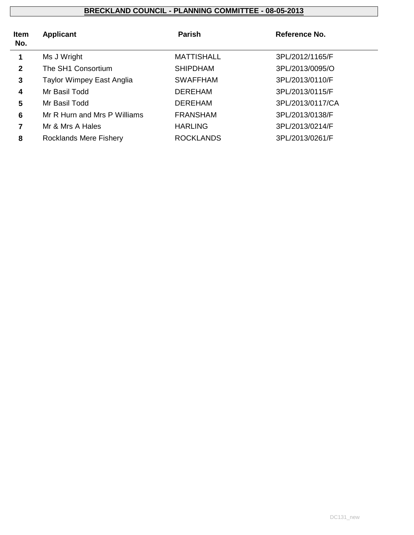| <b>Item</b><br>No. | <b>Applicant</b>                 | <b>Parish</b>     | Reference No.    |
|--------------------|----------------------------------|-------------------|------------------|
| 1                  | Ms J Wright                      | <b>MATTISHALL</b> | 3PL/2012/1165/F  |
| $\mathbf{2}$       | The SH1 Consortium               | <b>SHIPDHAM</b>   | 3PL/2013/0095/O  |
| 3                  | <b>Taylor Wimpey East Anglia</b> | <b>SWAFFHAM</b>   | 3PL/2013/0110/F  |
| 4                  | Mr Basil Todd                    | <b>DEREHAM</b>    | 3PL/2013/0115/F  |
| 5                  | Mr Basil Todd                    | <b>DEREHAM</b>    | 3PL/2013/0117/CA |
| 6                  | Mr R Hurn and Mrs P Williams     | <b>FRANSHAM</b>   | 3PL/2013/0138/F  |
| 7                  | Mr & Mrs A Hales                 | <b>HARLING</b>    | 3PL/2013/0214/F  |
| 8                  | <b>Rocklands Mere Fishery</b>    | <b>ROCKLANDS</b>  | 3PL/2013/0261/F  |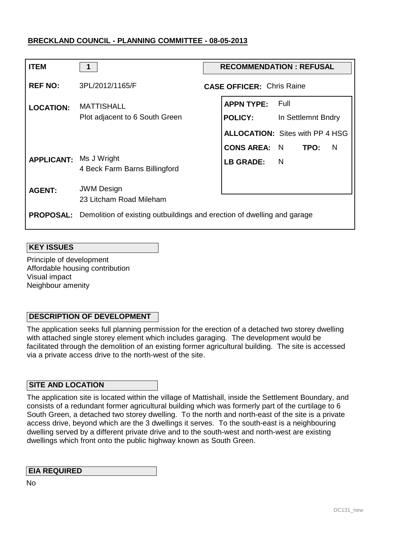| <b>ITEM</b>                   | 1                                                                                        | <b>RECOMMENDATION : REFUSAL</b> |                                  |                                        |  |  |
|-------------------------------|------------------------------------------------------------------------------------------|---------------------------------|----------------------------------|----------------------------------------|--|--|
| <b>REF NO:</b>                | 3PL/2012/1165/F                                                                          |                                 | <b>CASE OFFICER: Chris Raine</b> |                                        |  |  |
| <b>LOCATION:</b>              | <b>MATTISHALL</b><br>Plot adjacent to 6 South Green                                      |                                 | <b>APPN TYPE: Full</b>           | <b>POLICY:</b> In Settlemnt Bndry      |  |  |
|                               |                                                                                          |                                 |                                  | <b>ALLOCATION: Sites with PP 4 HSG</b> |  |  |
|                               |                                                                                          |                                 | <b>CONS AREA: N TPO:</b>         | N                                      |  |  |
| <b>APPLICANT: Ms J Wright</b> | 4 Beck Farm Barns Billingford                                                            |                                 | LB GRADE: N                      |                                        |  |  |
| <b>AGENT:</b>                 | <b>JWM Design</b><br>23 Litcham Road Mileham                                             |                                 |                                  |                                        |  |  |
|                               | <b>PROPOSAL:</b> Demolition of existing outbuildings and erection of dwelling and garage |                                 |                                  |                                        |  |  |

## **KEY ISSUES**

Principle of development Affordable housing contribution Visual impact Neighbour amenity

## **DESCRIPTION OF DEVELOPMENT**

The application seeks full planning permission for the erection of a detached two storey dwelling with attached single storey element which includes garaging. The development would be facilitated through the demolition of an existing former agricultural building. The site is accessed via a private access drive to the north-west of the site.

## **SITE AND LOCATION**

The application site is located within the village of Mattishall, inside the Settlement Boundary, and consists of a redundant former agricultural building which was formerly part of the curtilage to 6 South Green, a detached two storey dwelling. To the north and north-east of the site is a private access drive, beyond which are the 3 dwellings it serves. To the south-east is a neighbouring dwelling served by a different private drive and to the south-west and north-west are existing dwellings which front onto the public highway known as South Green.

## **EIA REQUIRED**

No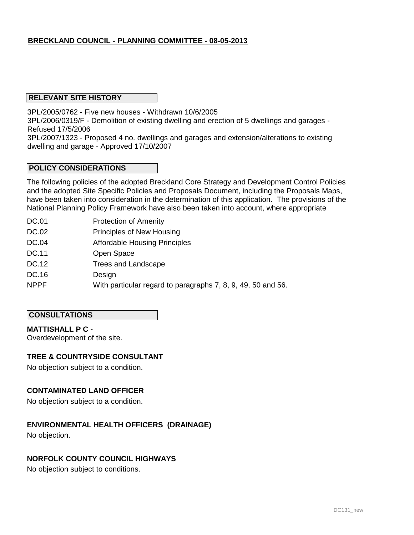## **RELEVANT SITE HISTORY**

3PL/2005/0762 - Five new houses - Withdrawn 10/6/2005

3PL/2006/0319/F - Demolition of existing dwelling and erection of 5 dwellings and garages - Refused 17/5/2006

3PL/2007/1323 - Proposed 4 no. dwellings and garages and extension/alterations to existing dwelling and garage - Approved 17/10/2007

## **POLICY CONSIDERATIONS**

The following policies of the adopted Breckland Core Strategy and Development Control Policies and the adopted Site Specific Policies and Proposals Document, including the Proposals Maps, have been taken into consideration in the determination of this application. The provisions of the National Planning Policy Framework have also been taken into account, where appropriate

- DC.01 Protection of Amenity
- DC.02 Principles of New Housing
- DC.04 Affordable Housing Principles
- DC.11 Open Space
- DC.12 Trees and Landscape
- DC.16 Design
- NPPF With particular regard to paragraphs 7, 8, 9, 49, 50 and 56.

## **CONSULTATIONS**

## **MATTISHALL P C -**

Overdevelopment of the site.

## **TREE & COUNTRYSIDE CONSULTANT**

No objection subject to a condition.

## **CONTAMINATED LAND OFFICER**

No objection subject to a condition.

## **ENVIRONMENTAL HEALTH OFFICERS (DRAINAGE)**

No objection.

## **NORFOLK COUNTY COUNCIL HIGHWAYS**

No objection subject to conditions.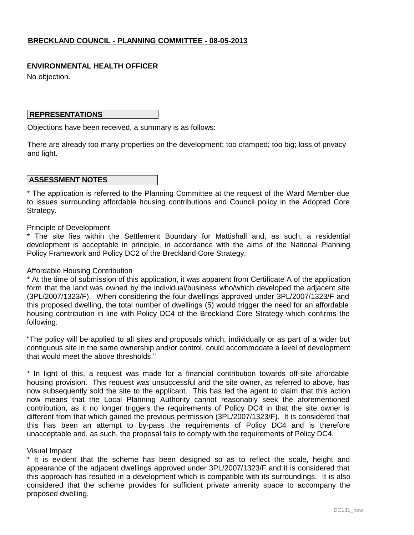## **ENVIRONMENTAL HEALTH OFFICER**

No objection.

## **REPRESENTATIONS**

Objections have been received, a summary is as follows:

There are already too many properties on the development; too cramped; too big; loss of privacy and light.

## **ASSESSMENT NOTES**

\* The application is referred to the Planning Committee at the request of the Ward Member due to issues surrounding affordable housing contributions and Council policy in the Adopted Core Strategy.

### Principle of Development

\* The site lies within the Settlement Boundary for Mattishall and, as such, a residential development is acceptable in principle, in accordance with the aims of the National Planning Policy Framework and Policy DC2 of the Breckland Core Strategy.

### Affordable Housing Contribution

\* At the time of submission of this application, it was apparent from Certificate A of the application form that the land was owned by the individual/business who/which developed the adjacent site (3PL/2007/1323/F). When considering the four dwellings approved under 3PL/2007/1323/F and this proposed dwelling, the total number of dwellings (5) would trigger the need for an affordable housing contribution in line with Policy DC4 of the Breckland Core Strategy which confirms the following:

"The policy will be applied to all sites and proposals which, individually or as part of a wider but contiguous site in the same ownership and/or control, could accommodate a level of development that would meet the above thresholds."

\* In light of this, a request was made for a financial contribution towards off-site affordable housing provision. This request was unsuccessful and the site owner, as referred to above, has now subsequently sold the site to the applicant. This has led the agent to claim that this action now means that the Local Planning Authority cannot reasonably seek the aforementioned contribution, as it no longer triggers the requirements of Policy DC4 in that the site owner is different from that which gained the previous permission (3PL/2007/1323/F). It is considered that this has been an attempt to by-pass the requirements of Policy DC4 and is therefore unacceptable and, as such, the proposal fails to comply with the requirements of Policy DC4.

## Visual Impact

\* It is evident that the scheme has been designed so as to reflect the scale, height and appearance of the adjacent dwellings approved under 3PL/2007/1323/F and it is considered that this approach has resulted in a development which is compatible with its surroundings. It is also considered that the scheme provides for sufficient private amenity space to accompany the proposed dwelling.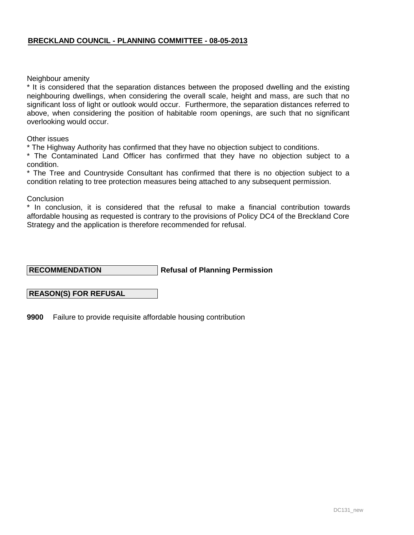Neighbour amenity

\* It is considered that the separation distances between the proposed dwelling and the existing neighbouring dwellings, when considering the overall scale, height and mass, are such that no significant loss of light or outlook would occur. Furthermore, the separation distances referred to above, when considering the position of habitable room openings, are such that no significant overlooking would occur.

Other issues

\* The Highway Authority has confirmed that they have no objection subject to conditions.

\* The Contaminated Land Officer has confirmed that they have no objection subject to a condition.

\* The Tree and Countryside Consultant has confirmed that there is no objection subject to a condition relating to tree protection measures being attached to any subsequent permission.

**Conclusion** 

\* In conclusion, it is considered that the refusal to make a financial contribution towards affordable housing as requested is contrary to the provisions of Policy DC4 of the Breckland Core Strategy and the application is therefore recommended for refusal.

**Refusal of Planning Permission RECOMMENDATION**

## **REASON(S) FOR REFUSAL**

**9900** Failure to provide requisite affordable housing contribution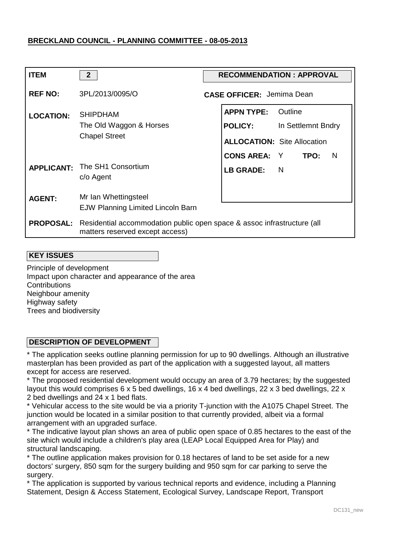| <b>ITEM</b>      | 2 <sup>2</sup>                                                                                                              | <b>RECOMMENDATION: APPROVAL</b> |                                                                           |                               |  |  |
|------------------|-----------------------------------------------------------------------------------------------------------------------------|---------------------------------|---------------------------------------------------------------------------|-------------------------------|--|--|
| <b>REF NO:</b>   | 3PL/2013/0095/O                                                                                                             |                                 | <b>CASE OFFICER: Jemima Dean</b>                                          |                               |  |  |
| <b>LOCATION:</b> | <b>SHIPDHAM</b><br>The Old Waggon & Horses<br><b>Chapel Street</b>                                                          |                                 | <b>APPN TYPE:</b><br><b>POLICY:</b><br><b>ALLOCATION: Site Allocation</b> | Outline<br>In Settlemnt Bndry |  |  |
|                  | <b>APPLICANT:</b> The SH1 Consortium<br>c/o Agent                                                                           |                                 | <b>CONS AREA: Y TPO:</b><br><b>LB GRADE:</b>                              | <sub>N</sub><br>- N           |  |  |
| <b>AGENT:</b>    | Mr Ian Whettingsteel<br>EJW Planning Limited Lincoln Barn                                                                   |                                 |                                                                           |                               |  |  |
|                  | <b>PROPOSAL:</b> Residential accommodation public open space & assoc infrastructure (all<br>matters reserved except access) |                                 |                                                                           |                               |  |  |

#### **KEY ISSUES**

Principle of development Impact upon character and appearance of the area **Contributions** Neighbour amenity Highway safety Trees and biodiversity

## **DESCRIPTION OF DEVELOPMENT**

\* The application seeks outline planning permission for up to 90 dwellings. Although an illustrative masterplan has been provided as part of the application with a suggested layout, all matters except for access are reserved.

\* The proposed residential development would occupy an area of 3.79 hectares; by the suggested layout this would comprises 6 x 5 bed dwellings, 16 x 4 bed dwellings, 22 x 3 bed dwellings, 22 x 2 bed dwellings and 24 x 1 bed flats.

\* Vehicular access to the site would be via a priority T-junction with the A1075 Chapel Street. The junction would be located in a similar position to that currently provided, albeit via a formal arrangement with an upgraded surface.

\* The indicative layout plan shows an area of public open space of 0.85 hectares to the east of the site which would include a children's play area (LEAP Local Equipped Area for Play) and structural landscaping.

\* The outline application makes provision for 0.18 hectares of land to be set aside for a new doctors' surgery, 850 sqm for the surgery building and 950 sqm for car parking to serve the surgery.

\* The application is supported by various technical reports and evidence, including a Planning Statement, Design & Access Statement, Ecological Survey, Landscape Report, Transport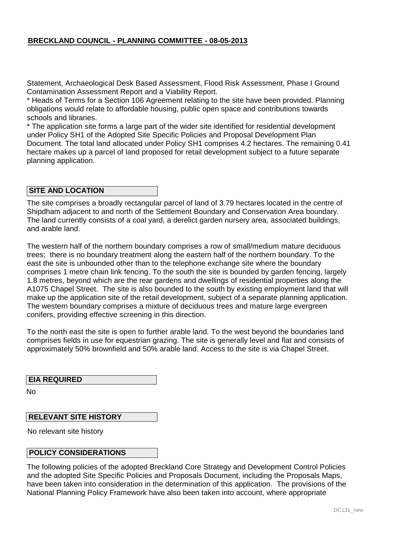Statement, Archaeological Desk Based Assessment, Flood Risk Assessment, Phase I Ground Contamination Assessment Report and a Viability Report.

\* Heads of Terms for a Section 106 Agreement relating to the site have been provided. Planning obligations would relate to affordable housing, public open space and contributions towards schools and libraries.

\* The application site forms a large part of the wider site identified for residential development under Policy SH1 of the Adopted Site Specific Policies and Proposal Development Plan Document. The total land allocated under Policy SH1 comprises 4.2 hectares. The remaining 0.41 hectare makes up a parcel of land proposed for retail development subject to a future separate planning application.

## **SITE AND LOCATION**

The site comprises a broadly rectangular parcel of land of 3.79 hectares located in the centre of Shipdham adjacent to and north of the Settlement Boundary and Conservation Area boundary. The land currently consists of a coal yard, a derelict garden nursery area, associated buildings, and arable land.

The western half of the northern boundary comprises a row of small/medium mature deciduous trees; there is no boundary treatment along the eastern half of the northern boundary. To the east the site is unbounded other than to the telephone exchange site where the boundary comprises 1 metre chain link fencing. To the south the site is bounded by garden fencing, largely 1.8 metres, beyond which are the rear gardens and dwellings of residential properties along the A1075 Chapel Street. The site is also bounded to the south by existing employment land that will make up the application site of the retail development, subject of a separate planning application. The western boundary comprises a mixture of deciduous trees and mature large evergreen conifers, providing effective screening in this direction.

To the north east the site is open to further arable land. To the west beyond the boundaries land comprises fields in use for equestrian grazing. The site is generally level and flat and consists of approximately 50% brownfield and 50% arable land. Access to the site is via Chapel Street.

#### **EIA REQUIRED**

No

## **RELEVANT SITE HISTORY**

No relevant site history

#### **POLICY CONSIDERATIONS**

The following policies of the adopted Breckland Core Strategy and Development Control Policies and the adopted Site Specific Policies and Proposals Document, including the Proposals Maps, have been taken into consideration in the determination of this application. The provisions of the National Planning Policy Framework have also been taken into account, where appropriate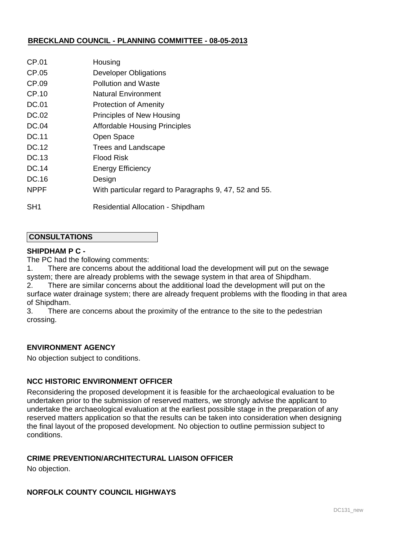| CP.01           | Housing                                                |
|-----------------|--------------------------------------------------------|
| CP.05           | <b>Developer Obligations</b>                           |
| CP.09           | Pollution and Waste                                    |
| CP.10           | Natural Environment                                    |
| <b>DC.01</b>    | <b>Protection of Amenity</b>                           |
| DC.02           | Principles of New Housing                              |
| DC.04           | <b>Affordable Housing Principles</b>                   |
| DC.11           | Open Space                                             |
| DC.12           | Trees and Landscape                                    |
| DC.13           | <b>Flood Risk</b>                                      |
| DC.14           | <b>Energy Efficiency</b>                               |
| DC.16           | Design                                                 |
| <b>NPPF</b>     | With particular regard to Paragraphs 9, 47, 52 and 55. |
| SH <sub>1</sub> | <b>Residential Allocation - Shipdham</b>               |

## **CONSULTATIONS**

#### **SHIPDHAM P C -**

The PC had the following comments:

1. There are concerns about the additional load the development will put on the sewage system; there are already problems with the sewage system in that area of Shipdham. 2. There are similar concerns about the additional load the development will put on the

surface water drainage system; there are already frequent problems with the flooding in that area of Shipdham.

3. There are concerns about the proximity of the entrance to the site to the pedestrian crossing.

## **ENVIRONMENT AGENCY**

No objection subject to conditions.

## **NCC HISTORIC ENVIRONMENT OFFICER**

Reconsidering the proposed development it is feasible for the archaeological evaluation to be undertaken prior to the submission of reserved matters, we strongly advise the applicant to undertake the archaeological evaluation at the earliest possible stage in the preparation of any reserved matters application so that the results can be taken into consideration when designing the final layout of the proposed development. No objection to outline permission subject to conditions.

## **CRIME PREVENTION/ARCHITECTURAL LIAISON OFFICER**

No objection.

## **NORFOLK COUNTY COUNCIL HIGHWAYS**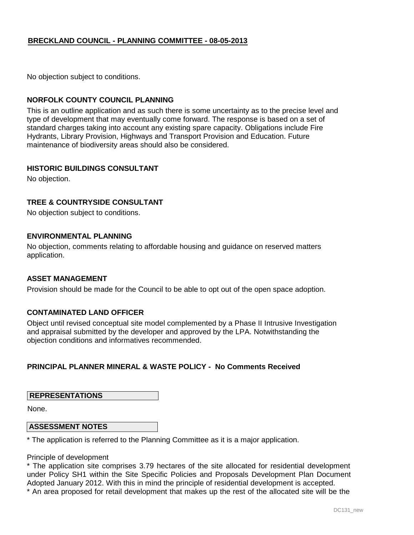No objection subject to conditions.

## **NORFOLK COUNTY COUNCIL PLANNING**

This is an outline application and as such there is some uncertainty as to the precise level and type of development that may eventually come forward. The response is based on a set of standard charges taking into account any existing spare capacity. Obligations include Fire Hydrants, Library Provision, Highways and Transport Provision and Education. Future maintenance of biodiversity areas should also be considered.

#### **HISTORIC BUILDINGS CONSULTANT**

No objection.

## **TREE & COUNTRYSIDE CONSULTANT**

No objection subject to conditions.

### **ENVIRONMENTAL PLANNING**

No objection, comments relating to affordable housing and guidance on reserved matters application.

#### **ASSET MANAGEMENT**

Provision should be made for the Council to be able to opt out of the open space adoption.

## **CONTAMINATED LAND OFFICER**

Object until revised conceptual site model complemented by a Phase II Intrusive Investigation and appraisal submitted by the developer and approved by the LPA. Notwithstanding the objection conditions and informatives recommended.

## **PRINCIPAL PLANNER MINERAL & WASTE POLICY - No Comments Received**

## **REPRESENTATIONS**

None.

#### **ASSESSMENT NOTES**

\* The application is referred to the Planning Committee as it is a major application.

Principle of development

\* The application site comprises 3.79 hectares of the site allocated for residential development under Policy SH1 within the Site Specific Policies and Proposals Development Plan Document Adopted January 2012. With this in mind the principle of residential development is accepted.

\* An area proposed for retail development that makes up the rest of the allocated site will be the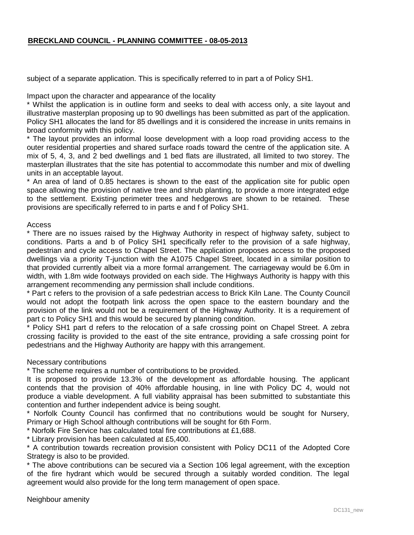subject of a separate application. This is specifically referred to in part a of Policy SH1.

Impact upon the character and appearance of the locality

\* Whilst the application is in outline form and seeks to deal with access only, a site layout and illustrative masterplan proposing up to 90 dwellings has been submitted as part of the application. Policy SH1 allocates the land for 85 dwellings and it is considered the increase in units remains in broad conformity with this policy.

\* The layout provides an informal loose development with a loop road providing access to the outer residential properties and shared surface roads toward the centre of the application site. A mix of 5, 4, 3, and 2 bed dwellings and 1 bed flats are illustrated, all limited to two storey. The masterplan illustrates that the site has potential to accommodate this number and mix of dwelling units in an acceptable layout.

\* An area of land of 0.85 hectares is shown to the east of the application site for public open space allowing the provision of native tree and shrub planting, to provide a more integrated edge to the settlement. Existing perimeter trees and hedgerows are shown to be retained. These provisions are specifically referred to in parts e and f of Policy SH1.

Access

\* There are no issues raised by the Highway Authority in respect of highway safety, subject to conditions. Parts a and b of Policy SH1 specifically refer to the provision of a safe highway, pedestrian and cycle access to Chapel Street. The application proposes access to the proposed dwellings via a priority T-junction with the A1075 Chapel Street, located in a similar position to that provided currently albeit via a more formal arrangement. The carriageway would be 6.0m in width, with 1.8m wide footways provided on each side. The Highways Authority is happy with this arrangement recommending any permission shall include conditions.

\* Part c refers to the provision of a safe pedestrian access to Brick Kiln Lane. The County Council would not adopt the footpath link across the open space to the eastern boundary and the provision of the link would not be a requirement of the Highway Authority. It is a requirement of part c to Policy SH1 and this would be secured by planning condition.

\* Policy SH1 part d refers to the relocation of a safe crossing point on Chapel Street. A zebra crossing facility is provided to the east of the site entrance, providing a safe crossing point for pedestrians and the Highway Authority are happy with this arrangement.

## Necessary contributions

\* The scheme requires a number of contributions to be provided.

It is proposed to provide 13.3% of the development as affordable housing. The applicant contends that the provision of 40% affordable housing, in line with Policy DC 4, would not produce a viable development. A full viability appraisal has been submitted to substantiate this contention and further independent advice is being sought.

\* Norfolk County Council has confirmed that no contributions would be sought for Nursery, Primary or High School although contributions will be sought for 6th Form.

\* Norfolk Fire Service has calculated total fire contributions at £1,688.

\* Library provision has been calculated at £5,400.

\* A contribution towards recreation provision consistent with Policy DC11 of the Adopted Core Strategy is also to be provided.

\* The above contributions can be secured via a Section 106 legal agreement, with the exception of the fire hydrant which would be secured through a suitably worded condition. The legal agreement would also provide for the long term management of open space.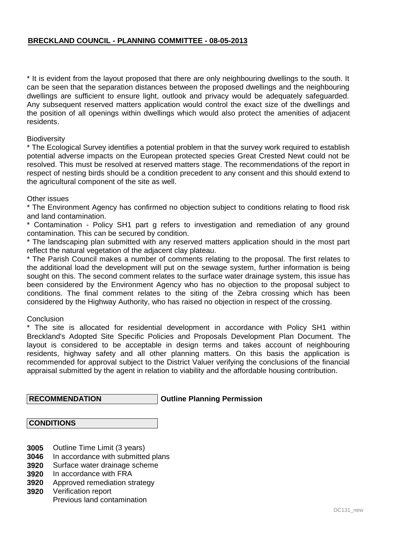\* It is evident from the layout proposed that there are only neighbouring dwellings to the south. It can be seen that the separation distances between the proposed dwellings and the neighbouring dwellings are sufficient to ensure light, outlook and privacy would be adequately safeguarded. Any subsequent reserved matters application would control the exact size of the dwellings and the position of all openings within dwellings which would also protect the amenities of adjacent residents.

#### **Biodiversity**

\* The Ecological Survey identifies a potential problem in that the survey work required to establish potential adverse impacts on the European protected species Great Crested Newt could not be resolved. This must be resolved at reserved matters stage. The recommendations of the report in respect of nesting birds should be a condition precedent to any consent and this should extend to the agricultural component of the site as well.

#### Other issues

\* The Environment Agency has confirmed no objection subject to conditions relating to flood risk and land contamination.

Contamination - Policy SH1 part g refers to investigation and remediation of any ground contamination. This can be secured by condition.

\* The landscaping plan submitted with any reserved matters application should in the most part reflect the natural vegetation of the adjacent clay plateau.

\* The Parish Council makes a number of comments relating to the proposal. The first relates to the additional load the development will put on the sewage system, further information is being sought on this. The second comment relates to the surface water drainage system, this issue has been considered by the Environment Agency who has no objection to the proposal subject to conditions. The final comment relates to the siting of the Zebra crossing which has been considered by the Highway Authority, who has raised no objection in respect of the crossing.

#### **Conclusion**

\* The site is allocated for residential development in accordance with Policy SH1 within Breckland's Adopted Site Specific Policies and Proposals Development Plan Document. The layout is considered to be acceptable in design terms and takes account of neighbouring residents, highway safety and all other planning matters. On this basis the application is recommended for approval subject to the District Valuer verifying the conclusions of the financial appraisal submitted by the agent in relation to viability and the affordable housing contribution.

 **RECOMMENDATION**

## **Outline Planning Permission**

#### **CONDITIONS**

- **3005** Outline Time Limit (3 years)
- **3046** In accordance with submitted plans
- **3920** Surface water drainage scheme
- **3920** In accordance with FRA
- **3920** Approved remediation strategy
- **3920** Verification report Previous land contamination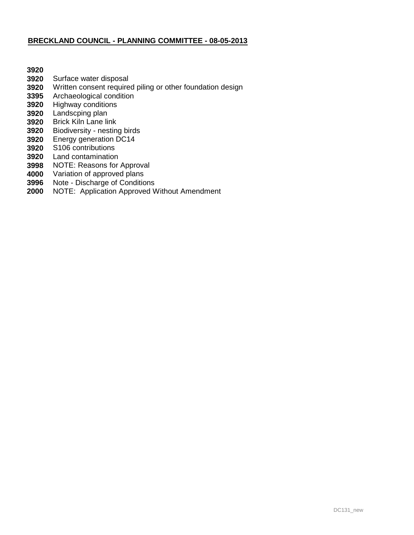- Surface water disposal
- Written consent required piling or other foundation design
- Archaeological condition
- Highway conditions
- Landscping plan
- Brick Kiln Lane link
- Biodiversity nesting birds
- Energy generation DC14
- S106 contributions
- Land contamination
- NOTE: Reasons for Approval
- Variation of approved plans
- Note Discharge of Conditions
- NOTE: Application Approved Without Amendment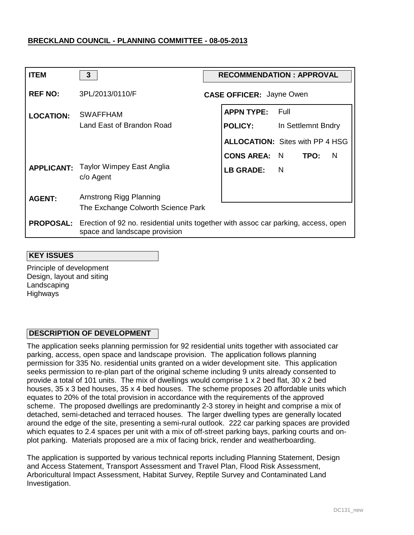| <b>ITEM</b>      | $\mathbf{3}$                                                                                                                         | <b>RECOMMENDATION: APPROVAL</b> |                                        |  |                    |     |
|------------------|--------------------------------------------------------------------------------------------------------------------------------------|---------------------------------|----------------------------------------|--|--------------------|-----|
| <b>REF NO:</b>   | 3PL/2013/0110/F                                                                                                                      |                                 | <b>CASE OFFICER: Jayne Owen</b>        |  |                    |     |
| <b>LOCATION:</b> | <b>SWAFFHAM</b>                                                                                                                      |                                 | <b>APPN TYPE:</b> Full                 |  |                    |     |
|                  | Land East of Brandon Road                                                                                                            |                                 | <b>POLICY:</b>                         |  | In Settlemnt Bndry |     |
|                  |                                                                                                                                      |                                 | <b>ALLOCATION: Sites with PP 4 HSG</b> |  |                    |     |
|                  |                                                                                                                                      |                                 | CONS AREA: N TPO:                      |  |                    | - N |
|                  | <b>APPLICANT:</b> Taylor Wimpey East Anglia<br>c/o Agent                                                                             |                                 | LB GRADE: N                            |  |                    |     |
| <b>AGENT:</b>    | Arnstrong Rigg Planning                                                                                                              |                                 |                                        |  |                    |     |
|                  | The Exchange Colworth Science Park                                                                                                   |                                 |                                        |  |                    |     |
|                  | <b>PROPOSAL:</b> Erection of 92 no. residential units together with assoc car parking, access, open<br>space and landscape provision |                                 |                                        |  |                    |     |

#### **KEY ISSUES**

Principle of development Design, layout and siting Landscaping Highways

## **DESCRIPTION OF DEVELOPMENT**

The application seeks planning permission for 92 residential units together with associated car parking, access, open space and landscape provision. The application follows planning permission for 335 No. residential units granted on a wider development site. This application seeks permission to re-plan part of the original scheme including 9 units already consented to provide a total of 101 units. The mix of dwellings would comprise 1 x 2 bed flat, 30 x 2 bed houses, 35 x 3 bed houses, 35 x 4 bed houses. The scheme proposes 20 affordable units which equates to 20% of the total provision in accordance with the requirements of the approved scheme. The proposed dwellings are predominantly 2-3 storey in height and comprise a mix of detached, semi-detached and terraced houses. The larger dwelling types are generally located around the edge of the site, presenting a semi-rural outlook. 222 car parking spaces are provided which equates to 2.4 spaces per unit with a mix of off-street parking bays, parking courts and onplot parking. Materials proposed are a mix of facing brick, render and weatherboarding.

The application is supported by various technical reports including Planning Statement, Design and Access Statement, Transport Assessment and Travel Plan, Flood Risk Assessment, Arboricultural Impact Assessment, Habitat Survey, Reptile Survey and Contaminated Land Investigation.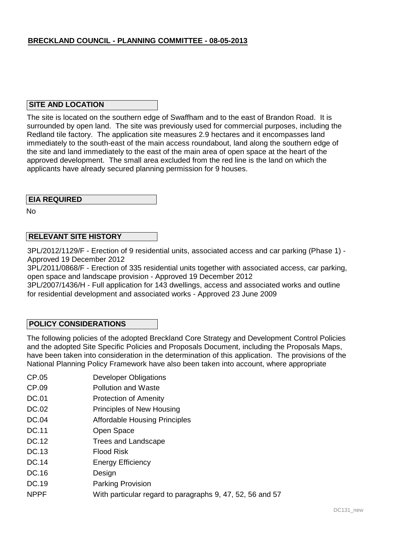## **SITE AND LOCATION**

The site is located on the southern edge of Swaffham and to the east of Brandon Road. It is surrounded by open land. The site was previously used for commercial purposes, including the Redland tile factory. The application site measures 2.9 hectares and it encompasses land immediately to the south-east of the main access roundabout, land along the southern edge of the site and land immediately to the east of the main area of open space at the heart of the approved development. The small area excluded from the red line is the land on which the applicants have already secured planning permission for 9 houses.

## **EIA REQUIRED**

No

## **RELEVANT SITE HISTORY**

3PL/2012/1129/F - Erection of 9 residential units, associated access and car parking (Phase 1) - Approved 19 December 2012

3PL/2011/0868/F - Erection of 335 residential units together with associated access, car parking, open space and landscape provision - Approved 19 December 2012

3PL/2007/1436/H - Full application for 143 dwellings, access and associated works and outline for residential development and associated works - Approved 23 June 2009

## **POLICY CONSIDERATIONS**

The following policies of the adopted Breckland Core Strategy and Development Control Policies and the adopted Site Specific Policies and Proposals Document, including the Proposals Maps, have been taken into consideration in the determination of this application. The provisions of the National Planning Policy Framework have also been taken into account, where appropriate

- CP.05 Developer Obligations
- CP.09 Pollution and Waste
- DC.01 Protection of Amenity
- DC.02 Principles of New Housing
- DC.04 Affordable Housing Principles
- DC.11 Open Space
- DC.12 Trees and Landscape
- DC.13 Flood Risk
- DC.14 Energy Efficiency
- DC.16 Design
- DC.19 Parking Provision
- NPPF With particular regard to paragraphs 9, 47, 52, 56 and 57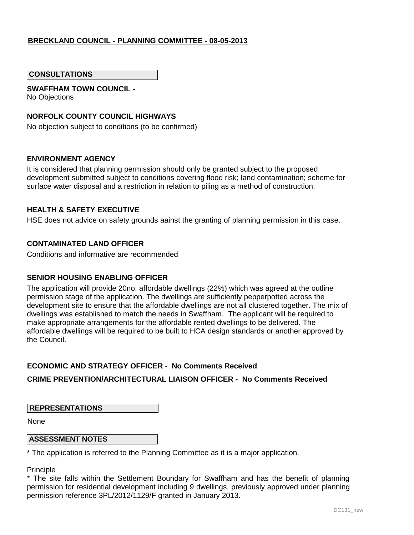### **CONSULTATIONS**

## **SWAFFHAM TOWN COUNCIL -**

No Objections

## **NORFOLK COUNTY COUNCIL HIGHWAYS**

No objection subject to conditions (to be confirmed)

#### **ENVIRONMENT AGENCY**

It is considered that planning permission should only be granted subject to the proposed development submitted subject to conditions covering flood risk; land contamination; scheme for surface water disposal and a restriction in relation to piling as a method of construction.

### **HEALTH & SAFETY EXECUTIVE**

HSE does not advice on safety grounds aainst the granting of planning permission in this case.

#### **CONTAMINATED LAND OFFICER**

Conditions and informative are recommended

#### **SENIOR HOUSING ENABLING OFFICER**

The application will provide 20no. affordable dwellings (22%) which was agreed at the outline permission stage of the application. The dwellings are sufficiently pepperpotted across the development site to ensure that the affordable dwellings are not all clustered together. The mix of dwellings was established to match the needs in Swaffham. The applicant will be required to make appropriate arrangements for the affordable rented dwellings to be delivered. The affordable dwellings will be required to be built to HCA design standards or another approved by the Council.

#### **ECONOMIC AND STRATEGY OFFICER - No Comments Received**

#### **CRIME PREVENTION/ARCHITECTURAL LIAISON OFFICER - No Comments Received**

#### **REPRESENTATIONS**

None

#### **ASSESSMENT NOTES**

\* The application is referred to the Planning Committee as it is a major application.

**Principle** 

\* The site falls within the Settlement Boundary for Swaffham and has the benefit of planning permission for residential development including 9 dwellings, previously approved under planning permission reference 3PL/2012/1129/F granted in January 2013.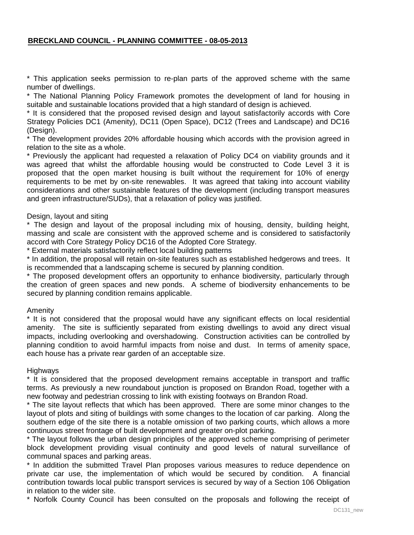\* This application seeks permission to re-plan parts of the approved scheme with the same number of dwellings.

\* The National Planning Policy Framework promotes the development of land for housing in suitable and sustainable locations provided that a high standard of design is achieved.

\* It is considered that the proposed revised design and layout satisfactorily accords with Core Strategy Policies DC1 (Amenity), DC11 (Open Space), DC12 (Trees and Landscape) and DC16 (Design).

\* The development provides 20% affordable housing which accords with the provision agreed in relation to the site as a whole.

\* Previously the applicant had requested a relaxation of Policy DC4 on viability grounds and it was agreed that whilst the affordable housing would be constructed to Code Level 3 it is proposed that the open market housing is built without the requirement for 10% of energy requirements to be met by on-site renewables. It was agreed that taking into account viability considerations and other sustainable features of the development (including transport measures and green infrastructure/SUDs), that a relaxation of policy was justified.

#### Design, layout and siting

\* The design and layout of the proposal including mix of housing, density, building height, massing and scale are consistent with the approved scheme and is considered to satisfactorily accord with Core Strategy Policy DC16 of the Adopted Core Strategy.

\* External materials satisfactorily reflect local building patterns

\* In addition, the proposal will retain on-site features such as established hedgerows and trees. It is recommended that a landscaping scheme is secured by planning condition.

\* The proposed development offers an opportunity to enhance biodiversity, particularly through the creation of green spaces and new ponds. A scheme of biodiversity enhancements to be secured by planning condition remains applicable.

#### Amenity

\* It is not considered that the proposal would have any significant effects on local residential amenity. The site is sufficiently separated from existing dwellings to avoid any direct visual impacts, including overlooking and overshadowing. Construction activities can be controlled by planning condition to avoid harmful impacts from noise and dust. In terms of amenity space, each house has a private rear garden of an acceptable size.

#### Highways

\* It is considered that the proposed development remains acceptable in transport and traffic terms. As previously a new roundabout junction is proposed on Brandon Road, together with a new footway and pedestrian crossing to link with existing footways on Brandon Road.

\* The site layout reflects that which has been approved. There are some minor changes to the layout of plots and siting of buildings with some changes to the location of car parking. Along the southern edge of the site there is a notable omission of two parking courts, which allows a more continuous street frontage of built development and greater on-plot parking.

\* The layout follows the urban design principles of the approved scheme comprising of perimeter block development providing visual continuity and good levels of natural surveillance of communal spaces and parking areas.

\* In addition the submitted Travel Plan proposes various measures to reduce dependence on private car use, the implementation of which would be secured by condition. A financial contribution towards local public transport services is secured by way of a Section 106 Obligation in relation to the wider site.

\* Norfolk County Council has been consulted on the proposals and following the receipt of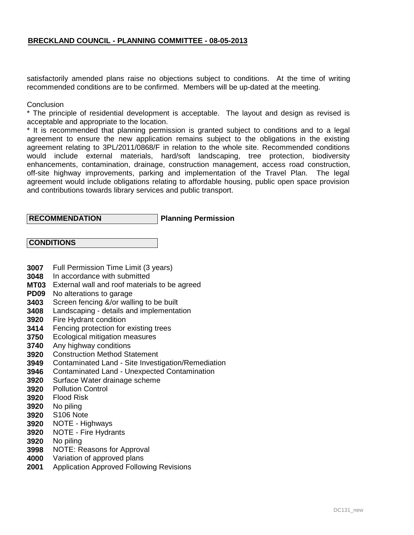satisfactorily amended plans raise no objections subject to conditions. At the time of writing recommended conditions are to be confirmed. Members will be up-dated at the meeting.

### **Conclusion**

\* The principle of residential development is acceptable. The layout and design as revised is acceptable and appropriate to the location.

\* It is recommended that planning permission is granted subject to conditions and to a legal agreement to ensure the new application remains subject to the obligations in the existing agreement relating to 3PL/2011/0868/F in relation to the whole site. Recommended conditions would include external materials, hard/soft landscaping, tree protection, biodiversity enhancements, contamination, drainage, construction management, access road construction, off-site highway improvements, parking and implementation of the Travel Plan. The legal agreement would include obligations relating to affordable housing, public open space provision and contributions towards library services and public transport.

## **RECOMMENDATION**

## **Planning Permission**

| <b>CONDITIONS</b> |
|-------------------|
|-------------------|

- **3007** Full Permission Time Limit (3 years)
- **3048** In accordance with submitted
- **MT03** External wall and roof materials to be agreed
- **PD09** No alterations to garage
- **3403** Screen fencing &/or walling to be built
- **3408** Landscaping - details and implementation
- **3920** Fire Hydrant condition
- **3414** Fencing protection for existing trees
- **3750** Ecological mitigation measures
- **3740** Any highway conditions
- **3920** Construction Method Statement
- **3949** Contaminated Land - Site Investigation/Remediation
- **3946** Contaminated Land - Unexpected Contamination
- **3920** Surface Water drainage scheme
- **3920** Pollution Control
- **3920** Flood Risk
- **3920** No piling
- **3920** S106 Note
- **3920** NOTE - Highways
- **3920** NOTE - Fire Hydrants
- **3920** No piling
- **3998** NOTE: Reasons for Approval
- **4000** Variation of approved plans
- **2001** Application Approved Following Revisions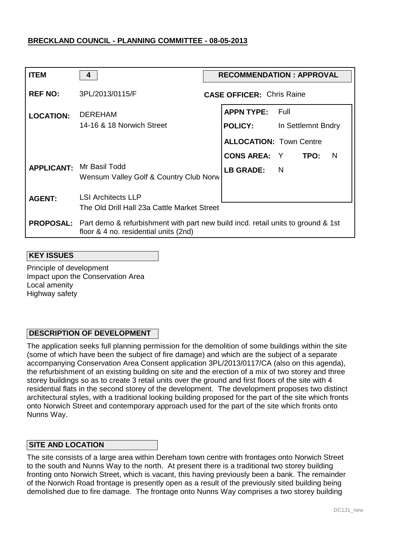| <b>ITEM</b>      | 4                                                                                                                                          | <b>RECOMMENDATION: APPROVAL</b> |                                  |                    |  |  |
|------------------|--------------------------------------------------------------------------------------------------------------------------------------------|---------------------------------|----------------------------------|--------------------|--|--|
| <b>REF NO:</b>   | 3PL/2013/0115/F                                                                                                                            |                                 | <b>CASE OFFICER: Chris Raine</b> |                    |  |  |
| <b>LOCATION:</b> | <b>DEREHAM</b>                                                                                                                             |                                 | <b>APPN TYPE: Full</b>           |                    |  |  |
|                  | 14-16 & 18 Norwich Street                                                                                                                  |                                 | <b>POLICY:</b>                   | In Settlemnt Bndry |  |  |
|                  |                                                                                                                                            |                                 | <b>ALLOCATION: Town Centre</b>   |                    |  |  |
|                  |                                                                                                                                            |                                 | <b>CONS AREA: Y TPO:</b>         | - N                |  |  |
|                  | <b>APPLICANT: Mr Basil Todd</b><br>Wensum Valley Golf & Country Club Norw                                                                  |                                 | LB GRADE: N                      |                    |  |  |
| <b>AGENT:</b>    | <b>LSI Architects LLP</b>                                                                                                                  |                                 |                                  |                    |  |  |
|                  | The Old Drill Hall 23a Cattle Market Street                                                                                                |                                 |                                  |                    |  |  |
|                  | <b>PROPOSAL:</b> Part demo & refurbishment with part new build incd. retail units to ground & 1st<br>floor & 4 no. residential units (2nd) |                                 |                                  |                    |  |  |

#### **KEY ISSUES**

Principle of development Impact upon the Conservation Area Local amenity Highway safety

## **DESCRIPTION OF DEVELOPMENT**

The application seeks full planning permission for the demolition of some buildings within the site (some of which have been the subject of fire damage) and which are the subject of a separate accompanying Conservation Area Consent application 3PL/2013/0117/CA (also on this agenda), the refurbishment of an existing building on site and the erection of a mix of two storey and three storey buildings so as to create 3 retail units over the ground and first floors of the site with 4 residential flats in the second storey of the development. The development proposes two distinct architectural styles, with a traditional looking building proposed for the part of the site which fronts onto Norwich Street and contemporary approach used for the part of the site which fronts onto Nunns Way.

## **SITE AND LOCATION**

The site consists of a large area within Dereham town centre with frontages onto Norwich Street to the south and Nunns Way to the north. At present there is a traditional two storey building fronting onto Norwich Street, which is vacant, this having previously been a bank. The remainder of the Norwich Road frontage is presently open as a result of the previously sited building being demolished due to fire damage. The frontage onto Nunns Way comprises a two storey building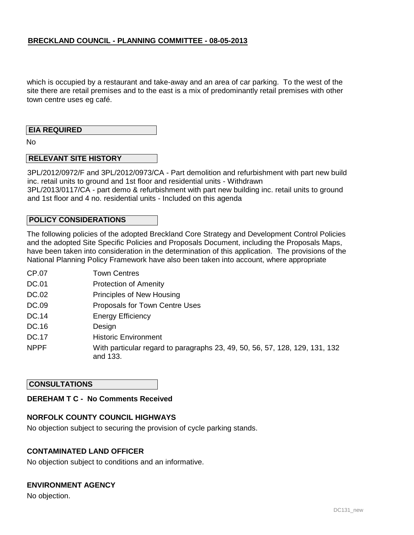which is occupied by a restaurant and take-away and an area of car parking. To the west of the site there are retail premises and to the east is a mix of predominantly retail premises with other town centre uses eg café.

## **EIA REQUIRED**

No

## **RELEVANT SITE HISTORY**

3PL/2012/0972/F and 3PL/2012/0973/CA - Part demolition and refurbishment with part new build inc. retail units to ground and 1st floor and residential units - Withdrawn 3PL/2013/0117/CA - part demo & refurbishment with part new building inc. retail units to ground and 1st floor and 4 no. residential units - Included on this agenda

## **POLICY CONSIDERATIONS**

The following policies of the adopted Breckland Core Strategy and Development Control Policies and the adopted Site Specific Policies and Proposals Document, including the Proposals Maps, have been taken into consideration in the determination of this application. The provisions of the National Planning Policy Framework have also been taken into account, where appropriate

- CP.07 Town Centres
- DC.01 Protection of Amenity
- DC.02 Principles of New Housing
- DC.09 Proposals for Town Centre Uses
- DC.14 Energy Efficiency
- DC.16 Design
- DC.17 Historic Environment
- NPPF With particular regard to paragraphs 23, 49, 50, 56, 57, 128, 129, 131, 132 and 133.

## **CONSULTATIONS**

## **DEREHAM T C - No Comments Received**

## **NORFOLK COUNTY COUNCIL HIGHWAYS**

No objection subject to securing the provision of cycle parking stands.

## **CONTAMINATED LAND OFFICER**

No objection subject to conditions and an informative.

## **ENVIRONMENT AGENCY**

No objection.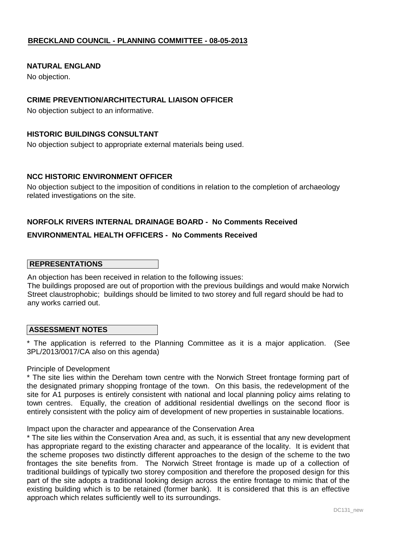## **NATURAL ENGLAND**

No objection.

## **CRIME PREVENTION/ARCHITECTURAL LIAISON OFFICER**

No objection subject to an informative.

## **HISTORIC BUILDINGS CONSULTANT**

No objection subject to appropriate external materials being used.

## **NCC HISTORIC ENVIRONMENT OFFICER**

No objection subject to the imposition of conditions in relation to the completion of archaeology related investigations on the site.

## **NORFOLK RIVERS INTERNAL DRAINAGE BOARD - No Comments Received**

## **ENVIRONMENTAL HEALTH OFFICERS - No Comments Received**

## **REPRESENTATIONS**

An objection has been received in relation to the following issues:

The buildings proposed are out of proportion with the previous buildings and would make Norwich Street claustrophobic; buildings should be limited to two storey and full regard should be had to any works carried out.

#### **ASSESSMENT NOTES**

\* The application is referred to the Planning Committee as it is a major application. (See 3PL/2013/0017/CA also on this agenda)

#### Principle of Development

\* The site lies within the Dereham town centre with the Norwich Street frontage forming part of the designated primary shopping frontage of the town. On this basis, the redevelopment of the site for A1 purposes is entirely consistent with national and local planning policy aims relating to town centres. Equally, the creation of additional residential dwellings on the second floor is entirely consistent with the policy aim of development of new properties in sustainable locations.

#### Impact upon the character and appearance of the Conservation Area

\* The site lies within the Conservation Area and, as such, it is essential that any new development has appropriate regard to the existing character and appearance of the locality. It is evident that the scheme proposes two distinctly different approaches to the design of the scheme to the two frontages the site benefits from. The Norwich Street frontage is made up of a collection of traditional buildings of typically two storey composition and therefore the proposed design for this part of the site adopts a traditional looking design across the entire frontage to mimic that of the existing building which is to be retained (former bank). It is considered that this is an effective approach which relates sufficiently well to its surroundings.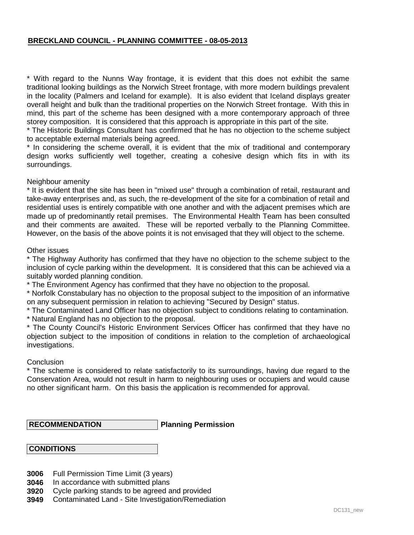\* With regard to the Nunns Way frontage, it is evident that this does not exhibit the same traditional looking buildings as the Norwich Street frontage, with more modern buildings prevalent in the locality (Palmers and Iceland for example). It is also evident that Iceland displays greater overall height and bulk than the traditional properties on the Norwich Street frontage. With this in mind, this part of the scheme has been designed with a more contemporary approach of three storey composition. It is considered that this approach is appropriate in this part of the site.

\* The Historic Buildings Consultant has confirmed that he has no objection to the scheme subject to acceptable external materials being agreed.

\* In considering the scheme overall, it is evident that the mix of traditional and contemporary design works sufficiently well together, creating a cohesive design which fits in with its surroundings.

#### Neighbour amenity

\* It is evident that the site has been in "mixed use" through a combination of retail, restaurant and take-away enterprises and, as such, the re-development of the site for a combination of retail and residential uses is entirely compatible with one another and with the adjacent premises which are made up of predominantly retail premises. The Environmental Health Team has been consulted and their comments are awaited. These will be reported verbally to the Planning Committee. However, on the basis of the above points it is not envisaged that they will object to the scheme.

#### Other issues

\* The Highway Authority has confirmed that they have no objection to the scheme subject to the inclusion of cycle parking within the development. It is considered that this can be achieved via a suitably worded planning condition.

\* The Environment Agency has confirmed that they have no objection to the proposal.

\* Norfolk Constabulary has no objection to the proposal subject to the imposition of an informative on any subsequent permission in relation to achieving "Secured by Design" status.

\* The Contaminated Land Officer has no objection subject to conditions relating to contamination.

\* Natural England has no objection to the proposal.

\* The County Council's Historic Environment Services Officer has confirmed that they have no objection subject to the imposition of conditions in relation to the completion of archaeological investigations.

## **Conclusion**

\* The scheme is considered to relate satisfactorily to its surroundings, having due regard to the Conservation Area, would not result in harm to neighbouring uses or occupiers and would cause no other significant harm. On this basis the application is recommended for approval.

 **RECOMMENDATION**

**Planning Permission**

## **CONDITIONS**

- **3006** Full Permission Time Limit (3 years)
- **3046** In accordance with submitted plans
- **3920** Cycle parking stands to be agreed and provided
- **3949** Contaminated Land - Site Investigation/Remediation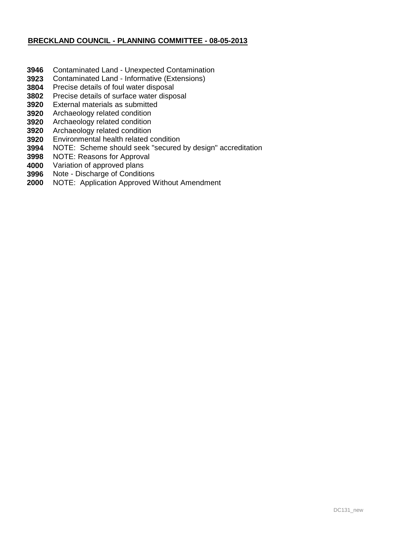- **3946** Contaminated Land - Unexpected Contamination
- **3923** Contaminated Land - Informative (Extensions)
- **3804** Precise details of foul water disposal
- **3802** Precise details of surface water disposal
- **3920** External materials as submitted
- **3920** Archaeology related condition
- **3920** Archaeology related condition
- **3920** Archaeology related condition
- **3920** Environmental health related condition
- **3994** NOTE: Scheme should seek "secured by design" accreditation
- **3998** NOTE: Reasons for Approval
- **4000** Variation of approved plans
- **3996** Note - Discharge of Conditions
- **2000** NOTE: Application Approved Without Amendment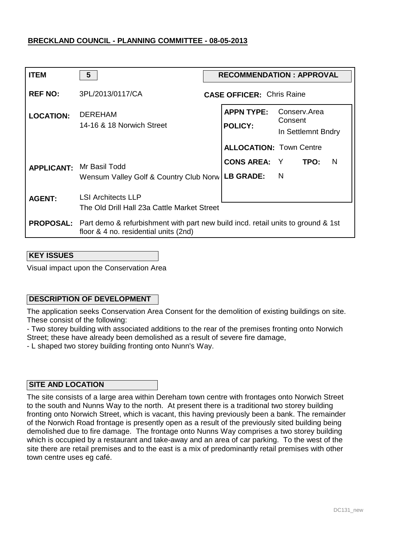| <b>ITEM</b>       | $5\phantom{1}$                                                                                                                             | <b>RECOMMENDATION: APPROVAL</b> |                                     |                                               |  |  |  |
|-------------------|--------------------------------------------------------------------------------------------------------------------------------------------|---------------------------------|-------------------------------------|-----------------------------------------------|--|--|--|
| <b>REF NO:</b>    | 3PL/2013/0117/CA                                                                                                                           |                                 | <b>CASE OFFICER: Chris Raine</b>    |                                               |  |  |  |
| <b>LOCATION:</b>  | <b>DEREHAM</b><br>14-16 & 18 Norwich Street                                                                                                |                                 | <b>APPN TYPE:</b><br><b>POLICY:</b> | Conserv.Area<br>Consent<br>In Settlemnt Bndry |  |  |  |
|                   |                                                                                                                                            |                                 | <b>ALLOCATION: Town Centre</b>      |                                               |  |  |  |
| <b>APPLICANT:</b> | Mr Basil Todd                                                                                                                              |                                 | <b>CONS AREA:</b> Y                 | TPO:<br>N                                     |  |  |  |
|                   | Wensum Valley Golf & Country Club Norw                                                                                                     |                                 | LB GRADE:                           | $\overline{N}$                                |  |  |  |
| <b>AGENT:</b>     | <b>LSI Architects LLP</b><br>The Old Drill Hall 23a Cattle Market Street                                                                   |                                 |                                     |                                               |  |  |  |
|                   |                                                                                                                                            |                                 |                                     |                                               |  |  |  |
|                   | <b>PROPOSAL:</b> Part demo & refurbishment with part new build incd. retail units to ground & 1st<br>floor & 4 no. residential units (2nd) |                                 |                                     |                                               |  |  |  |

#### **KEY ISSUES**

Visual impact upon the Conservation Area

## **DESCRIPTION OF DEVELOPMENT**

The application seeks Conservation Area Consent for the demolition of existing buildings on site. These consist of the following:

- Two storey building with associated additions to the rear of the premises fronting onto Norwich Street; these have already been demolished as a result of severe fire damage,

- L shaped two storey building fronting onto Nunn's Way.

## **SITE AND LOCATION**

The site consists of a large area within Dereham town centre with frontages onto Norwich Street to the south and Nunns Way to the north. At present there is a traditional two storey building fronting onto Norwich Street, which is vacant, this having previously been a bank. The remainder of the Norwich Road frontage is presently open as a result of the previously sited building being demolished due to fire damage. The frontage onto Nunns Way comprises a two storey building which is occupied by a restaurant and take-away and an area of car parking. To the west of the site there are retail premises and to the east is a mix of predominantly retail premises with other town centre uses eg café.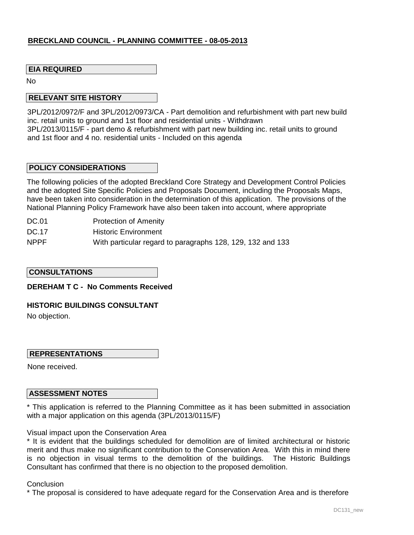## **EIA REQUIRED**

No

#### **RELEVANT SITE HISTORY**

3PL/2012/0972/F and 3PL/2012/0973/CA - Part demolition and refurbishment with part new build inc. retail units to ground and 1st floor and residential units - Withdrawn 3PL/2013/0115/F - part demo & refurbishment with part new building inc. retail units to ground and 1st floor and 4 no. residential units - Included on this agenda

#### **POLICY CONSIDERATIONS**

The following policies of the adopted Breckland Core Strategy and Development Control Policies and the adopted Site Specific Policies and Proposals Document, including the Proposals Maps, have been taken into consideration in the determination of this application. The provisions of the National Planning Policy Framework have also been taken into account, where appropriate

- DC.01 Protection of Amenity
- DC.17 Historic Environment
- NPPF With particular regard to paragraphs 128, 129, 132 and 133

#### **CONSULTATIONS**

#### **DEREHAM T C - No Comments Received**

#### **HISTORIC BUILDINGS CONSULTANT**

No objection.

## **REPRESENTATIONS**

None received.

## **ASSESSMENT NOTES**

\* This application is referred to the Planning Committee as it has been submitted in association with a major application on this agenda (3PL/2013/0115/F)

Visual impact upon the Conservation Area

\* It is evident that the buildings scheduled for demolition are of limited architectural or historic merit and thus make no significant contribution to the Conservation Area. With this in mind there is no objection in visual terms to the demolition of the buildings. The Historic Buildings Consultant has confirmed that there is no objection to the proposed demolition.

#### **Conclusion**

\* The proposal is considered to have adequate regard for the Conservation Area and is therefore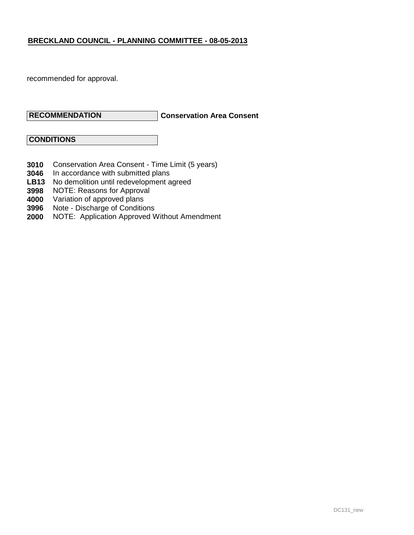recommended for approval.

## **RECOMMENDATION**

## **Conservation Area Consent**

 **CONDITIONS**

- **3010** Conservation Area Consent - Time Limit (5 years)
- **3046** In accordance with submitted plans
- **LB13** No demolition until redevelopment agreed
- **3998** NOTE: Reasons for Approval
- **4000** Variation of approved plans
- **3996** Note Discharge of Conditions
- **2000** NOTE: Application Approved Without Amendment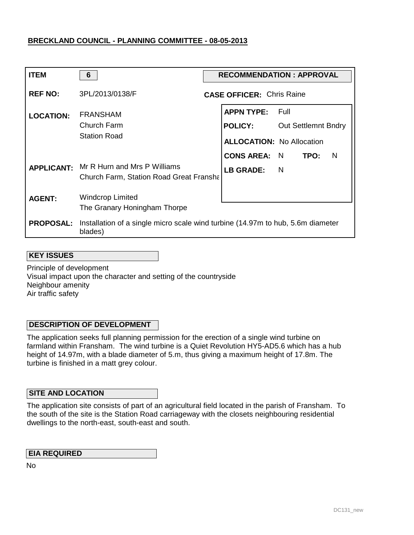| <b>ITEM</b>      | 6                                                                                                  | <b>RECOMMENDATION : APPROVAL</b>    |                |                            |   |
|------------------|----------------------------------------------------------------------------------------------------|-------------------------------------|----------------|----------------------------|---|
| <b>REF NO:</b>   | 3PL/2013/0138/F                                                                                    | <b>CASE OFFICER: Chris Raine</b>    |                |                            |   |
| <b>LOCATION:</b> | <b>FRANSHAM</b><br>Church Farm<br><b>Station Road</b>                                              | <b>APPN TYPE:</b><br><b>POLICY:</b> | - Full         | <b>Out Settlemnt Bndry</b> |   |
|                  |                                                                                                    | <b>ALLOCATION: No Allocation</b>    |                |                            |   |
|                  |                                                                                                    | <b>CONS AREA: N</b>                 |                | TPO:                       | N |
|                  | <b>APPLICANT:</b> Mr R Hurn and Mrs P Williams<br><b>Church Farm, Station Road Great Franshall</b> | <b>LB GRADE:</b>                    | $\blacksquare$ |                            |   |
| <b>AGENT:</b>    | <b>Windcrop Limited</b><br>The Granary Honingham Thorpe                                            |                                     |                |                            |   |
| <b>PROPOSAL:</b> | Installation of a single micro scale wind turbine (14.97m to hub, 5.6m diameter<br>blades)         |                                     |                |                            |   |

## **KEY ISSUES**

Principle of development Visual impact upon the character and setting of the countryside Neighbour amenity Air traffic safety

## **DESCRIPTION OF DEVELOPMENT**

The application seeks full planning permission for the erection of a single wind turbine on farmland within Fransham. The wind turbine is a Quiet Revolution HY5-AD5.6 which has a hub height of 14.97m, with a blade diameter of 5.m, thus giving a maximum height of 17.8m. The turbine is finished in a matt grey colour.

## **SITE AND LOCATION**

The application site consists of part of an agricultural field located in the parish of Fransham. To the south of the site is the Station Road carriageway with the closets neighbouring residential dwellings to the north-east, south-east and south.

## **EIA REQUIRED**

No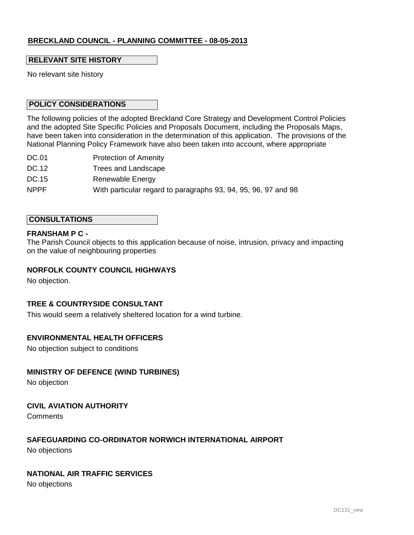## **RELEVANT SITE HISTORY**

No relevant site history

## **POLICY CONSIDERATIONS**

The following policies of the adopted Breckland Core Strategy and Development Control Policies and the adopted Site Specific Policies and Proposals Document, including the Proposals Maps, have been taken into consideration in the determination of this application. The provisions of the National Planning Policy Framework have also been taken into account, where appropriate

- DC.01 Protection of Amenity
- DC.12 Trees and Landscape
- DC.15 Renewable Energy
- NPPF With particular regard to paragraphs 93, 94, 95, 96, 97 and 98

#### **CONSULTATIONS**

#### **FRANSHAM P C -**

The Parish Council objects to this application because of noise, intrusion, privacy and impacting on the value of neighbouring properties

### **NORFOLK COUNTY COUNCIL HIGHWAYS**

No objection.

#### **TREE & COUNTRYSIDE CONSULTANT**

This would seem a relatively sheltered location for a wind turbine.

## **ENVIRONMENTAL HEALTH OFFICERS**

No objection subject to conditions

## **MINISTRY OF DEFENCE (WIND TURBINES)**

No objection

## **CIVIL AVIATION AUTHORITY**

**Comments** 

## **SAFEGUARDING CO-ORDINATOR NORWICH INTERNATIONAL AIRPORT**

No objections

## **NATIONAL AIR TRAFFIC SERVICES**

No objections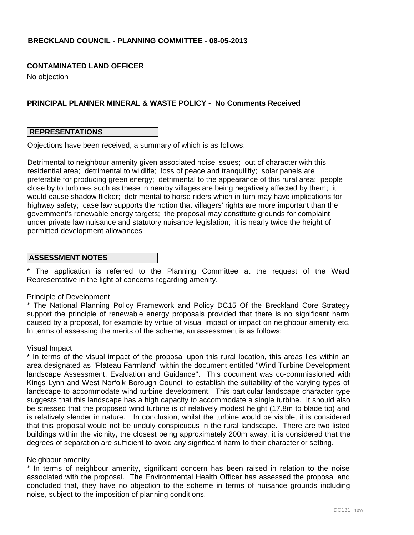### **CONTAMINATED LAND OFFICER**

No objection

## **PRINCIPAL PLANNER MINERAL & WASTE POLICY - No Comments Received**

#### **REPRESENTATIONS**

Objections have been received, a summary of which is as follows:

Detrimental to neighbour amenity given associated noise issues; out of character with this residential area; detrimental to wildlife; loss of peace and tranquillity; solar panels are preferable for producing green energy; detrimental to the appearance of this rural area; people close by to turbines such as these in nearby villages are being negatively affected by them; it would cause shadow flicker; detrimental to horse riders which in turn may have implications for highway safety; case law supports the notion that villagers' rights are more important than the government's renewable energy targets; the proposal may constitute grounds for complaint under private law nuisance and statutory nuisance legislation; it is nearly twice the height of permitted development allowances

## **ASSESSMENT NOTES**

\* The application is referred to the Planning Committee at the request of the Ward Representative in the light of concerns regarding amenity.

#### Principle of Development

\* The National Planning Policy Framework and Policy DC15 Of the Breckland Core Strategy support the principle of renewable energy proposals provided that there is no significant harm caused by a proposal, for example by virtue of visual impact or impact on neighbour amenity etc. In terms of assessing the merits of the scheme, an assessment is as follows:

#### Visual Impact

\* In terms of the visual impact of the proposal upon this rural location, this areas lies within an area designated as "Plateau Farmland" within the document entitled "Wind Turbine Development landscape Assessment, Evaluation and Guidance". This document was co-commissioned with Kings Lynn and West Norfolk Borough Council to establish the suitability of the varying types of landscape to accommodate wind turbine development. This particular landscape character type suggests that this landscape has a high capacity to accommodate a single turbine. It should also be stressed that the proposed wind turbine is of relatively modest height (17.8m to blade tip) and is relatively slender in nature. In conclusion, whilst the turbine would be visible, it is considered that this proposal would not be unduly conspicuous in the rural landscape. There are two listed buildings within the vicinity, the closest being approximately 200m away, it is considered that the degrees of separation are sufficient to avoid any significant harm to their character or setting.

#### Neighbour amenity

\* In terms of neighbour amenity, significant concern has been raised in relation to the noise associated with the proposal. The Environmental Health Officer has assessed the proposal and concluded that, they have no objection to the scheme in terms of nuisance grounds including noise, subject to the imposition of planning conditions.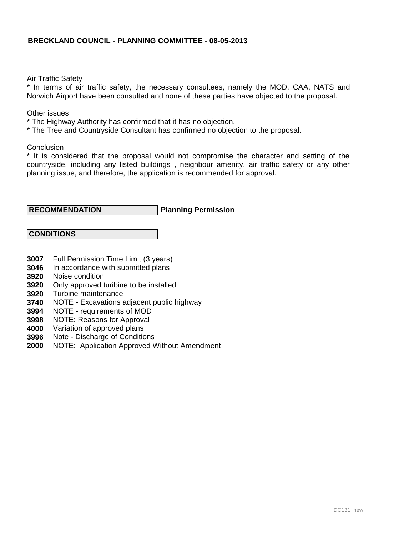#### Air Traffic Safety

\* In terms of air traffic safety, the necessary consultees, namely the MOD, CAA, NATS and Norwich Airport have been consulted and none of these parties have objected to the proposal.

Other issues

- \* The Highway Authority has confirmed that it has no objection.
- \* The Tree and Countryside Consultant has confirmed no objection to the proposal.

**Conclusion** 

\* It is considered that the proposal would not compromise the character and setting of the countryside, including any listed buildings , neighbour amenity, air traffic safety or any other planning issue, and therefore, the application is recommended for approval.

#### **Planning Permission RECOMMENDATION**

 **CONDITIONS**

- **3007** Full Permission Time Limit (3 years)
- **3046** In accordance with submitted plans
- **3920** Noise condition
- **3920** Only approved turibine to be installed
- **3920** Turbine maintenance
- **3740** NOTE - Excavations adjacent public highway
- **3994** NOTE - requirements of MOD
- **3998** NOTE: Reasons for Approval
- **4000** Variation of approved plans
- **3996** Note - Discharge of Conditions
- **2000** NOTE: Application Approved Without Amendment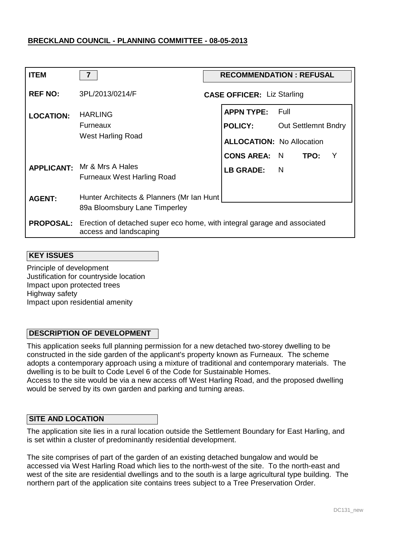| <b>ITEM</b>      | $\overline{7}$                                                                                                      | <b>RECOMMENDATION: REFUSAL</b>      |          |                            |     |
|------------------|---------------------------------------------------------------------------------------------------------------------|-------------------------------------|----------|----------------------------|-----|
| <b>REF NO:</b>   | 3PL/2013/0214/F                                                                                                     | <b>CASE OFFICER: Liz Starling</b>   |          |                            |     |
| <b>LOCATION:</b> | <b>HARLING</b><br>Furneaux                                                                                          | <b>APPN TYPE:</b><br><b>POLICY:</b> | - Full   | <b>Out Settlemnt Bndry</b> |     |
|                  | West Harling Road                                                                                                   | <b>ALLOCATION: No Allocation</b>    |          |                            |     |
|                  |                                                                                                                     | <b>CONS AREA:</b>                   | N        | TPO:                       | - Y |
|                  | <b>APPLICANT:</b> Mr & Mrs A Hales<br><b>Furneaux West Harling Road</b>                                             | <b>LB GRADE:</b>                    | <b>N</b> |                            |     |
| <b>AGENT:</b>    | Hunter Architects & Planners (Mr Ian Hunt)                                                                          |                                     |          |                            |     |
|                  | 89a Bloomsbury Lane Timperley                                                                                       |                                     |          |                            |     |
|                  | <b>PROPOSAL:</b> Erection of detached super eco home, with integral garage and associated<br>access and landscaping |                                     |          |                            |     |

#### **KEY ISSUES**

Principle of development Justification for countryside location Impact upon protected trees Highway safety Impact upon residential amenity

## **DESCRIPTION OF DEVELOPMENT**

This application seeks full planning permission for a new detached two-storey dwelling to be constructed in the side garden of the applicant's property known as Furneaux. The scheme adopts a contemporary approach using a mixture of traditional and contemporary materials. The dwelling is to be built to Code Level 6 of the Code for Sustainable Homes.

Access to the site would be via a new access off West Harling Road, and the proposed dwelling would be served by its own garden and parking and turning areas.

#### **SITE AND LOCATION**

The application site lies in a rural location outside the Settlement Boundary for East Harling, and is set within a cluster of predominantly residential development.

The site comprises of part of the garden of an existing detached bungalow and would be accessed via West Harling Road which lies to the north-west of the site. To the north-east and west of the site are residential dwellings and to the south is a large agricultural type building. The northern part of the application site contains trees subject to a Tree Preservation Order.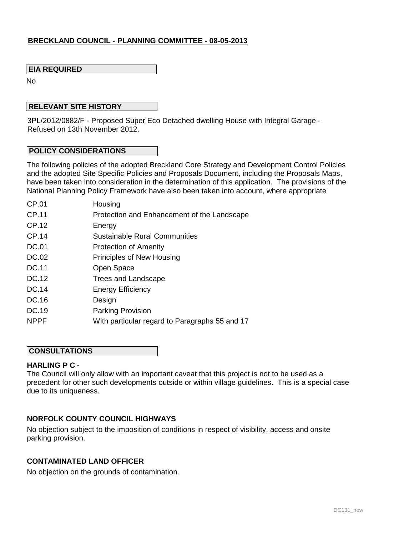## **EIA REQUIRED**

No

### **RELEVANT SITE HISTORY**

3PL/2012/0882/F - Proposed Super Eco Detached dwelling House with Integral Garage - Refused on 13th November 2012.

#### **POLICY CONSIDERATIONS**

The following policies of the adopted Breckland Core Strategy and Development Control Policies and the adopted Site Specific Policies and Proposals Document, including the Proposals Maps, have been taken into consideration in the determination of this application. The provisions of the National Planning Policy Framework have also been taken into account, where appropriate

| CP.01       | Housing                                        |
|-------------|------------------------------------------------|
| CP.11       | Protection and Enhancement of the Landscape    |
| CP.12       | Energy                                         |
| CP.14       | <b>Sustainable Rural Communities</b>           |
| DC.01       | <b>Protection of Amenity</b>                   |
| DC.02       | Principles of New Housing                      |
| DC.11       | Open Space                                     |
| DC.12       | Trees and Landscape                            |
| DC.14       | <b>Energy Efficiency</b>                       |
| DC.16       | Design                                         |
| DC.19       | <b>Parking Provision</b>                       |
| <b>NPPF</b> | With particular regard to Paragraphs 55 and 17 |
|             |                                                |

### **CONSULTATIONS**

## **HARLING P C -**

The Council will only allow with an important caveat that this project is not to be used as a precedent for other such developments outside or within village guidelines. This is a special case due to its uniqueness.

## **NORFOLK COUNTY COUNCIL HIGHWAYS**

No objection subject to the imposition of conditions in respect of visibility, access and onsite parking provision.

### **CONTAMINATED LAND OFFICER**

No objection on the grounds of contamination.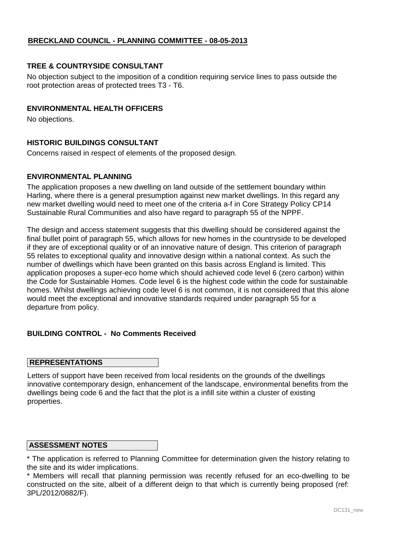## **TREE & COUNTRYSIDE CONSULTANT**

No objection subject to the imposition of a condition requiring service lines to pass outside the root protection areas of protected trees T3 - T6.

## **ENVIRONMENTAL HEALTH OFFICERS**

No objections.

## **HISTORIC BUILDINGS CONSULTANT**

Concerns raised in respect of elements of the proposed design.

## **ENVIRONMENTAL PLANNING**

The application proposes a new dwelling on land outside of the settlement boundary within Harling, where there is a general presumption against new market dwellings. In this regard any new market dwelling would need to meet one of the criteria a-f in Core Strategy Policy CP14 Sustainable Rural Communities and also have regard to paragraph 55 of the NPPF.

The design and access statement suggests that this dwelling should be considered against the final bullet point of paragraph 55, which allows for new homes in the countryside to be developed if they are of exceptional quality or of an innovative nature of design. This criterion of paragraph 55 relates to exceptional quality and innovative design within a national context. As such the number of dwellings which have been granted on this basis across England is limited. This application proposes a super-eco home which should achieved code level 6 (zero carbon) within the Code for Sustainable Homes. Code level 6 is the highest code within the code for sustainable homes. Whilst dwellings achieving code level 6 is not common, it is not considered that this alone would meet the exceptional and innovative standards required under paragraph 55 for a departure from policy.

## **BUILDING CONTROL - No Comments Received**

#### **REPRESENTATIONS**

Letters of support have been received from local residents on the grounds of the dwellings innovative contemporary design, enhancement of the landscape, environmental benefits from the dwellings being code 6 and the fact that the plot is a infill site within a cluster of existing properties.

#### **ASSESSMENT NOTES**

\* The application is referred to Planning Committee for determination given the history relating to the site and its wider implications.

\* Members will recall that planning permission was recently refused for an eco-dwelling to be constructed on the site, albeit of a different deign to that which is currently being proposed (ref: 3PL/2012/0882/F).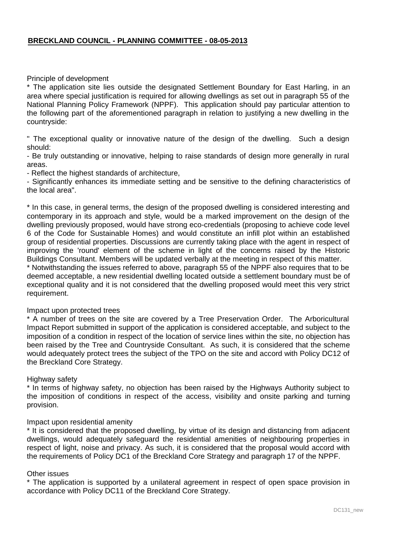### Principle of development

\* The application site lies outside the designated Settlement Boundary for East Harling, in an area where special justification is required for allowing dwellings as set out in paragraph 55 of the National Planning Policy Framework (NPPF). This application should pay particular attention to the following part of the aforementioned paragraph in relation to justifying a new dwelling in the countryside:

" The exceptional quality or innovative nature of the design of the dwelling. Such a design should:

- Be truly outstanding or innovative, helping to raise standards of design more generally in rural areas.

- Reflect the highest standards of architecture,

- Significantly enhances its immediate setting and be sensitive to the defining characteristics of the local area".

\* In this case, in general terms, the design of the proposed dwelling is considered interesting and contemporary in its approach and style, would be a marked improvement on the design of the dwelling previously proposed, would have strong eco-credentials (proposing to achieve code level 6 of the Code for Sustainable Homes) and would constitute an infill plot within an established group of residential properties. Discussions are currently taking place with the agent in respect of improving the 'round' element of the scheme in light of the concerns raised by the Historic Buildings Consultant. Members will be updated verbally at the meeting in respect of this matter.

\* Notwithstanding the issues referred to above, paragraph 55 of the NPPF also requires that to be deemed acceptable, a new residential dwelling located outside a settlement boundary must be of exceptional quality and it is not considered that the dwelling proposed would meet this very strict requirement.

#### Impact upon protected trees

\* A number of trees on the site are covered by a Tree Preservation Order. The Arboricultural Impact Report submitted in support of the application is considered acceptable, and subject to the imposition of a condition in respect of the location of service lines within the site, no objection has been raised by the Tree and Countryside Consultant. As such, it is considered that the scheme would adequately protect trees the subject of the TPO on the site and accord with Policy DC12 of the Breckland Core Strategy.

#### Highway safety

\* In terms of highway safety, no objection has been raised by the Highways Authority subject to the imposition of conditions in respect of the access, visibility and onsite parking and turning provision.

#### Impact upon residential amenity

\* It is considered that the proposed dwelling, by virtue of its design and distancing from adjacent dwellings, would adequately safeguard the residential amenities of neighbouring properties in respect of light, noise and privacy. As such, it is considered that the proposal would accord with the requirements of Policy DC1 of the Breckland Core Strategy and paragraph 17 of the NPPF.

### Other issues

\* The application is supported by a unilateral agreement in respect of open space provision in accordance with Policy DC11 of the Breckland Core Strategy.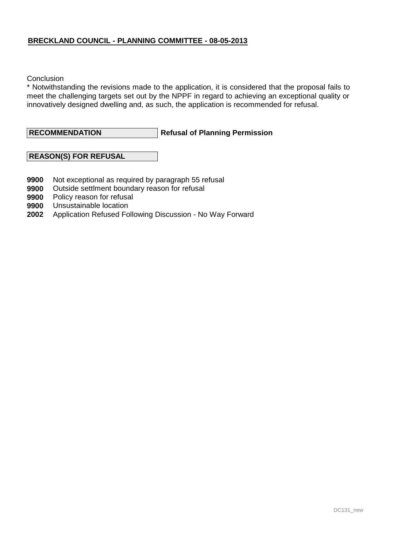**Conclusion** 

\* Notwithstanding the revisions made to the application, it is considered that the proposal fails to meet the challenging targets set out by the NPPF in regard to achieving an exceptional quality or innovatively designed dwelling and, as such, the application is recommended for refusal.

**Refusal of Planning Permission RECOMMENDATION**

## **REASON(S) FOR REFUSAL**

- **9900** Not exceptional as required by paragraph 55 refusal
- **9900** Outside settlment boundary reason for refusal
- **9900** Policy reason for refusal
- **9900** Unsustainable location
- **2002** Application Refused Following Discussion No Way Forward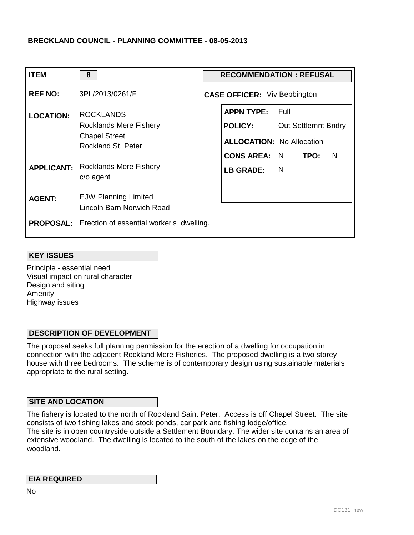| <b>ITEM</b>       | 8                                                                                               | <b>RECOMMENDATION: REFUSAL</b> |                                                                                                |                                      |      |     |
|-------------------|-------------------------------------------------------------------------------------------------|--------------------------------|------------------------------------------------------------------------------------------------|--------------------------------------|------|-----|
| <b>REF NO:</b>    | 3PL/2013/0261/F                                                                                 |                                | <b>CASE OFFICER:</b> Viv Bebbington                                                            |                                      |      |     |
| <b>LOCATION:</b>  | <b>ROCKLANDS</b><br><b>Rocklands Mere Fishery</b><br><b>Chapel Street</b><br>Rockland St. Peter |                                | <b>APPN TYPE:</b><br><b>POLICY:</b><br><b>ALLOCATION: No Allocation</b><br><b>CONS AREA: N</b> | - Full<br><b>Out Settlemnt Bndry</b> | TPO: | - N |
| <b>APPLICANT:</b> | <b>Rocklands Mere Fishery</b><br>c/o agent                                                      |                                | LB GRADE:                                                                                      | - N                                  |      |     |
| <b>AGENT:</b>     | <b>EJW Planning Limited</b><br>Lincoln Barn Norwich Road                                        |                                |                                                                                                |                                      |      |     |
|                   | <b>PROPOSAL:</b> Erection of essential worker's dwelling.                                       |                                |                                                                                                |                                      |      |     |

### **KEY ISSUES**

Principle - essential need Visual impact on rural character Design and siting Amenity Highway issues

## **DESCRIPTION OF DEVELOPMENT**

The proposal seeks full planning permission for the erection of a dwelling for occupation in connection with the adjacent Rockland Mere Fisheries. The proposed dwelling is a two storey house with three bedrooms. The scheme is of contemporary design using sustainable materials appropriate to the rural setting.

## **SITE AND LOCATION**

The fishery is located to the north of Rockland Saint Peter. Access is off Chapel Street. The site consists of two fishing lakes and stock ponds, car park and fishing lodge/office. The site is in open countryside outside a Settlement Boundary. The wider site contains an area of extensive woodland. The dwelling is located to the south of the lakes on the edge of the woodland.

## **EIA REQUIRED**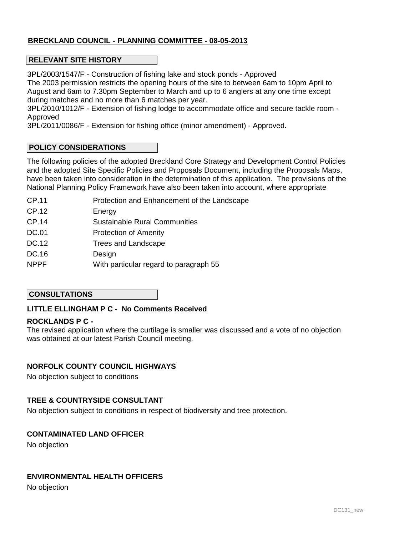## **RELEVANT SITE HISTORY**

3PL/2003/1547/F - Construction of fishing lake and stock ponds - Approved The 2003 permission restricts the opening hours of the site to between 6am to 10pm April to August and 6am to 7.30pm September to March and up to 6 anglers at any one time except during matches and no more than 6 matches per year.

3PL/2010/1012/F - Extension of fishing lodge to accommodate office and secure tackle room - Approved

3PL/2011/0086/F - Extension for fishing office (minor amendment) - Approved.

## **POLICY CONSIDERATIONS**

The following policies of the adopted Breckland Core Strategy and Development Control Policies and the adopted Site Specific Policies and Proposals Document, including the Proposals Maps, have been taken into consideration in the determination of this application. The provisions of the National Planning Policy Framework have also been taken into account, where appropriate

- CP.11 Protection and Enhancement of the Landscape
- CP.12 Energy
- CP.14 Sustainable Rural Communities
- DC.01 Protection of Amenity
- DC.12 Trees and Landscape
- DC.16 **Design**
- NPPF With particular regard to paragraph 55

## **CONSULTATIONS**

## **LITTLE ELLINGHAM P C - No Comments Received**

## **ROCKLANDS P C -**

The revised application where the curtilage is smaller was discussed and a vote of no objection was obtained at our latest Parish Council meeting.

## **NORFOLK COUNTY COUNCIL HIGHWAYS**

No objection subject to conditions

## **TREE & COUNTRYSIDE CONSULTANT**

No objection subject to conditions in respect of biodiversity and tree protection.

## **CONTAMINATED LAND OFFICER**

No objection

## **ENVIRONMENTAL HEALTH OFFICERS**

No objection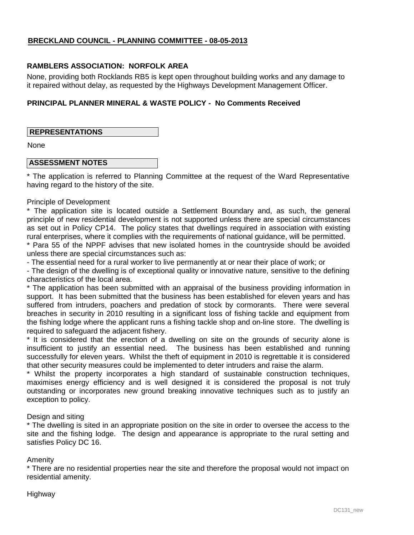## **RAMBLERS ASSOCIATION: NORFOLK AREA**

None, providing both Rocklands RB5 is kept open throughout building works and any damage to it repaired without delay, as requested by the Highways Development Management Officer.

## **PRINCIPAL PLANNER MINERAL & WASTE POLICY - No Comments Received**

## **REPRESENTATIONS**

None

## **ASSESSMENT NOTES**

\* The application is referred to Planning Committee at the request of the Ward Representative having regard to the history of the site.

#### Principle of Development

\* The application site is located outside a Settlement Boundary and, as such, the general principle of new residential development is not supported unless there are special circumstances as set out in Policy CP14. The policy states that dwellings required in association with existing rural enterprises, where it complies with the requirements of national guidance, will be permitted.

\* Para 55 of the NPPF advises that new isolated homes in the countryside should be avoided unless there are special circumstances such as:

- The essential need for a rural worker to live permanently at or near their place of work; or

- The design of the dwelling is of exceptional quality or innovative nature, sensitive to the defining characteristics of the local area.

\* The application has been submitted with an appraisal of the business providing information in support. It has been submitted that the business has been established for eleven years and has suffered from intruders, poachers and predation of stock by cormorants. There were several breaches in security in 2010 resulting in a significant loss of fishing tackle and equipment from the fishing lodge where the applicant runs a fishing tackle shop and on-line store. The dwelling is required to safeguard the adjacent fishery.

\* It is considered that the erection of a dwelling on site on the grounds of security alone is insufficient to justify an essential need. The business has been established and running successfully for eleven years. Whilst the theft of equipment in 2010 is regrettable it is considered that other security measures could be implemented to deter intruders and raise the alarm.

\* Whilst the property incorporates a high standard of sustainable construction techniques, maximises energy efficiency and is well designed it is considered the proposal is not truly outstanding or incorporates new ground breaking innovative techniques such as to justify an exception to policy.

## Design and siting

\* The dwelling is sited in an appropriate position on the site in order to oversee the access to the site and the fishing lodge. The design and appearance is appropriate to the rural setting and satisfies Policy DC 16.

## Amenity

\* There are no residential properties near the site and therefore the proposal would not impact on residential amenity.

## Highway